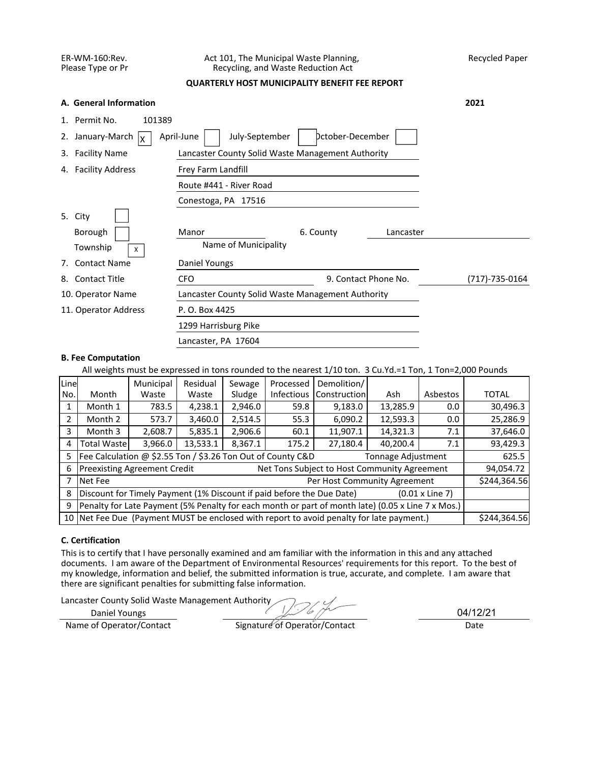### ER-WM-160:Rev. Act 101, The Municipal Waste Planning, Recycled Paper<br>Please Type or Pr Recycling, and Waste Reduction Act Recycling, and Waste Reduction Act

## **QUARTERLY HOST MUNICIPALITY BENEFIT FEE REPORT**

|    | A. General Information                |                                                   |                      |           | 2021           |
|----|---------------------------------------|---------------------------------------------------|----------------------|-----------|----------------|
| 1. | Permit No.<br>101389                  |                                                   |                      |           |                |
| 2. | January-March $\vert_X$<br>April-June | Dctober-December                                  |                      |           |                |
| 3. | <b>Facility Name</b>                  | Lancaster County Solid Waste Management Authority |                      |           |                |
| 4. | <b>Facility Address</b>               |                                                   |                      |           |                |
|    |                                       |                                                   |                      |           |                |
|    |                                       |                                                   |                      |           |                |
|    | 5. City                               |                                                   |                      |           |                |
|    | Borough                               | Manor                                             | 6. County            | Lancaster |                |
|    |                                       |                                                   |                      |           |                |
|    | Township<br>X                         | Name of Municipality                              |                      |           |                |
| 7. | <b>Contact Name</b>                   | Daniel Youngs                                     |                      |           |                |
| 8. | <b>Contact Title</b>                  | <b>CFO</b>                                        | 9. Contact Phone No. |           | (717)-735-0164 |
|    | 10. Operator Name                     | Lancaster County Solid Waste Management Authority |                      |           |                |
|    | 11. Operator Address                  | P. O. Box 4425                                    |                      |           |                |
|    |                                       | 1299 Harrisburg Pike                              |                      |           |                |

### **B. Fee Computation**

All weights must be expressed in tons rounded to the nearest 1/10 ton. 3 Cu.Yd.=1 Ton, 1 Ton=2,000 Pounds

| Line           |                                                                                                 | Municipal                                                            | Residual | Sewage                                        | Processed         | Demolition/                                                                                       |          |          |              |  |
|----------------|-------------------------------------------------------------------------------------------------|----------------------------------------------------------------------|----------|-----------------------------------------------|-------------------|---------------------------------------------------------------------------------------------------|----------|----------|--------------|--|
| No.            | Month                                                                                           | Waste                                                                | Waste    | Sludge                                        | <b>Infectious</b> | Construction                                                                                      | Ash      | Asbestos | <b>TOTAL</b> |  |
| 1              | Month 1                                                                                         | 783.5                                                                | 4,238.1  | 2,946.0                                       | 30,496.3          |                                                                                                   |          |          |              |  |
| $\overline{2}$ | Month 2                                                                                         | 573.7                                                                | 3,460.0  | 12,593.3<br>2,514.5<br>55.3<br>6,090.2<br>0.0 |                   |                                                                                                   |          |          | 25,286.9     |  |
| 3              | Month 3                                                                                         | 14,321.3<br>5,835.1<br>2,906.6<br>11,907.1<br>2,608.7<br>60.1<br>7.1 |          |                                               |                   |                                                                                                   |          | 37,646.0 |              |  |
| 4              | <b>Total Wastel</b>                                                                             | 3,966.0                                                              | 13,533.1 | 8,367.1                                       | 175.2             | 27,180.4                                                                                          | 40,200.4 | 7.1      | 93,429.3     |  |
| 5.             | Fee Calculation @ \$2.55 Ton / \$3.26 Ton Out of County C&D<br>Tonnage Adjustment               |                                                                      |          |                                               |                   |                                                                                                   |          |          |              |  |
| 6              | <b>Preexisting Agreement Credit</b><br>Net Tons Subject to Host Community Agreement             |                                                                      |          |                                               |                   |                                                                                                   |          |          |              |  |
|                | Per Host Community Agreement<br>Net Fee                                                         |                                                                      |          |                                               |                   |                                                                                                   |          |          |              |  |
| 8              | Discount for Timely Payment (1% Discount if paid before the Due Date)<br>$(0.01 \times$ Line 7) |                                                                      |          |                                               |                   |                                                                                                   |          |          |              |  |
| 9              |                                                                                                 |                                                                      |          |                                               |                   | Penalty for Late Payment (5% Penalty for each month or part of month late) (0.05 x Line 7 x Mos.) |          |          |              |  |
|                |                                                                                                 |                                                                      |          |                                               |                   | 10 Net Fee Due (Payment MUST be enclosed with report to avoid penalty for late payment.)          |          |          | \$244,364.56 |  |

## **C. Certification**

This is to certify that I have personally examined and am familiar with the information in this and any attached documents. I am aware of the Department of Environmental Resources' requirements for this report. To the best of my knowledge, information and belief, the submitted information is true, accurate, and complete. I am aware that there are significant penalties for submitting false information.

Lancaster County Solid Waste Management Authority

Daniel Youngs

04/12/21

Name of Operator/Contact Signature of Operator/Contact Date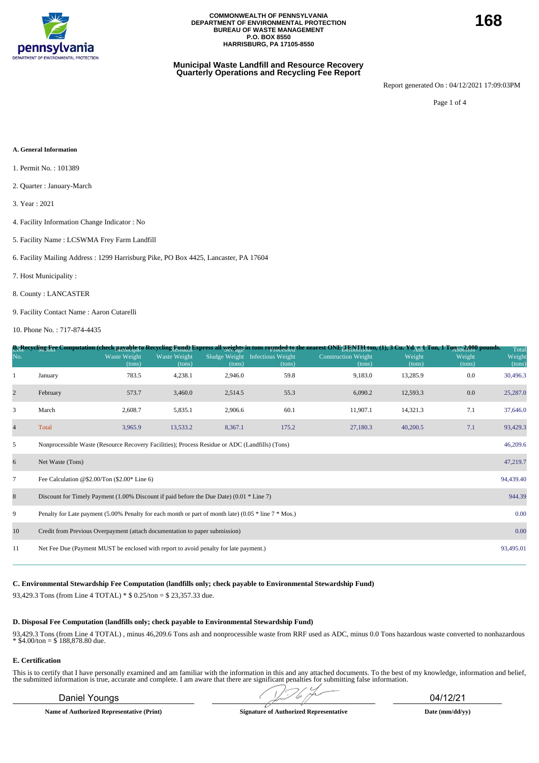

#### **Municipal Waste Landfill and Resource Recovery Quarterly Operations and Recycling Fee Report**

Report generated On : 04/12/2021 17:09:03PM

Page 1 of 4

#### **A. General Information**

- 1. Permit No. : 101389
- 2. Quarter : January-March
- 3. Year : 2021
- 4. Facility Information Change Indicator : No
- 5. Facility Name : LCSWMA Frey Farm Landfill
- 6. Facility Mailing Address : 1299 Harrisburg Pike, PO Box 4425, Lancaster, PA 17604
- 7. Host Municipality :
- 8. County : LANCASTER
- 9. Facility Contact Name : Aaron Cutarelli

10. Phone No. : 717-874-4435

|                |                                                                                                          |                               |                        |                         |                                    | B <sub>11</sub> Recycling Fee Computation (check payable to Recycling Eynd) Express all <u>weights</u> in tons rounded to mearest ONE TENTH fon, (1), 3 Cu. Yd <sub>AUI</sub> Ton, 1 Ton 52 Red to ownds. |                  |                  | Total            |
|----------------|----------------------------------------------------------------------------------------------------------|-------------------------------|------------------------|-------------------------|------------------------------------|-----------------------------------------------------------------------------------------------------------------------------------------------------------------------------------------------------------|------------------|------------------|------------------|
| No.            |                                                                                                          | <b>Waste Weight</b><br>(tons) | Waste Weight<br>(tons) | Sludge Weight<br>(tons) | <b>Infectious Weight</b><br>(tons) | <b>Construction Weight</b><br>(tons)                                                                                                                                                                      | Weight<br>(tons) | Weight<br>(tons) | Weight<br>(tons) |
|                | January                                                                                                  | 783.5                         | 4,238.1                | 2,946.0                 | 59.8                               | 9,183.0                                                                                                                                                                                                   | 13,285.9         | 0.0              | 30,496.3         |
| $\overline{2}$ | February                                                                                                 | 573.7                         | 3,460.0                | 2,514.5                 | 55.3                               | 6,090.2                                                                                                                                                                                                   | 12,593.3         | 0.0              | 25,287.0         |
| 3              | March                                                                                                    | 2,608.7                       | 5,835.1                | 2,906.6                 | 60.1                               | 11,907.1                                                                                                                                                                                                  | 14,321.3         | 7.1              | 37,646.0         |
| $\overline{4}$ | Total                                                                                                    | 3,965.9                       | 13,533.2               | 8,367.1                 | 175.2                              | 27,180.3                                                                                                                                                                                                  | 40,200.5         | 7.1              | 93,429.3         |
| 5              | Nonprocessible Waste (Resource Recovery Facilities); Process Residue or ADC (Landfills) (Tons)           |                               |                        |                         |                                    |                                                                                                                                                                                                           |                  |                  | 46,209.6         |
| 6              | Net Waste (Tons)                                                                                         |                               |                        |                         |                                    |                                                                                                                                                                                                           |                  |                  | 47,219.7         |
| $\tau$         | Fee Calculation @\$2.00/Ton $(\$2.00*$ Line 6)                                                           |                               |                        |                         |                                    |                                                                                                                                                                                                           |                  |                  | 94,439.40        |
| 8              | Discount for Timely Payment $(1.00\%$ Discount if paid before the Due Date) $(0.01 * Line 7)$            |                               |                        |                         |                                    |                                                                                                                                                                                                           |                  |                  | 944.39           |
| 9              | Penalty for Late payment (5.00% Penalty for each month or part of month late) (0.05 $*$ line 7 $*$ Mos.) |                               |                        |                         |                                    |                                                                                                                                                                                                           |                  |                  | 0.00             |
| 10             | Credit from Previous Overpayment (attach documentation to paper submission)                              |                               |                        |                         |                                    |                                                                                                                                                                                                           |                  |                  | 0.00             |
| 11             | Net Fee Due (Payment MUST be enclosed with report to avoid penalty for late payment.)                    |                               |                        |                         |                                    |                                                                                                                                                                                                           |                  |                  | 93,495.01        |
|                |                                                                                                          |                               |                        |                         |                                    |                                                                                                                                                                                                           |                  |                  |                  |

### **C. Environmental Stewardship Fee Computation (landfills only; check payable to Environmental Stewardship Fund)**

93,429.3 Tons (from Line 4 TOTAL) \* \$ 0.25/ton = \$ 23,357.33 due.

#### **D. Disposal Fee Computation (landfills only; check payable to Environmental Stewardship Fund)**

93,429.3 Tons (from Line 4 TOTAL) , minus 46,209.6 Tons ash and nonprocessible waste from RRF used as ADC, minus 0.0 Tons hazardous waste converted to nonhazardous  $*$  \$4.00/ton = \$ 188,878.80 due.

#### **E. Certification**

This is to certify that I have personally examined and am familiar with the information in this and any attached documents. To the best of my knowledge, information and belief, the submitted information is true, accurate and complete. I am aware that there are significant penalties for submitting false information.

## Daniel Youngs 04/12/21

**Name of Authorized Representative (Print) Signature of Authorized Representative Date (mm/dd/yy)**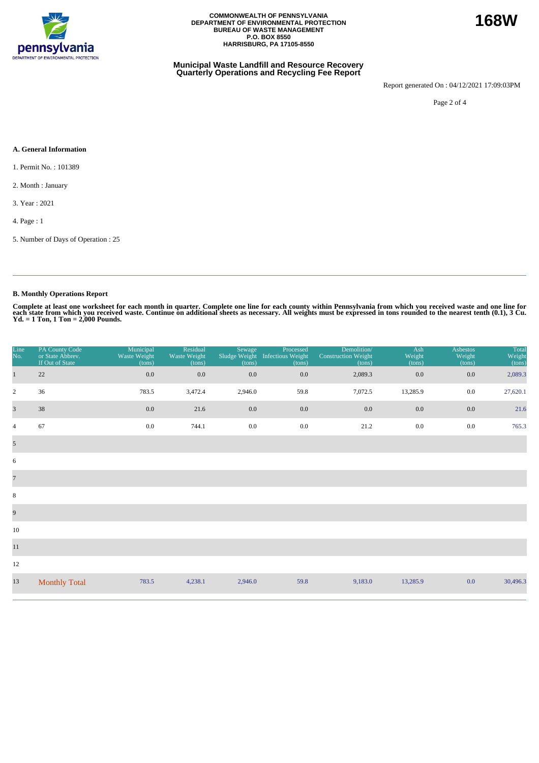

#### **Municipal Waste Landfill and Resource Recovery Quarterly Operations and Recycling Fee Report**

Report generated On : 04/12/2021 17:09:03PM

Page 2 of 4

#### **A. General Information**

- 1. Permit No. : 101389
- 2. Month : January
- 3. Year : 2021
- 4. Page : 1
- 5. Number of Days of Operation : 25

## **B. Monthly Operations Report**

Complete at least one worksheet for each month in quarter. Complete one line for each county within Pennsylvania from which you received waste and one line for<br>each state from which you received waste. Continue on addition

| Line<br>No.             | PA County Code<br>or State Abbrev.<br>If Out of State | Municipal<br>Waste Weight<br>(tons) | Residual<br>Waste Weight<br>(tons) | Sewage<br>(tons) | Processed<br>Sludge Weight Infectious Weight<br>(tons) | Demolition/<br><b>Construction Weight</b><br>(tons) | Ash<br>Weight<br>(tons) | <b>Asbestos</b><br>Weight<br>(tons) | Total<br>Weight<br>(tons) |
|-------------------------|-------------------------------------------------------|-------------------------------------|------------------------------------|------------------|--------------------------------------------------------|-----------------------------------------------------|-------------------------|-------------------------------------|---------------------------|
| $\mathbf{1}$            | 22                                                    | 0.0                                 | 0.0                                | 0.0              | $0.0\,$                                                | 2,089.3                                             | $0.0\,$                 | 0.0                                 | 2,089.3                   |
| $\overline{2}$          | 36                                                    | 783.5                               | 3,472.4                            | 2,946.0          | 59.8                                                   | 7,072.5                                             | 13,285.9                | $0.0\,$                             | 27,620.1                  |
| $\overline{\mathbf{3}}$ | 38                                                    | $0.0\,$                             | 21.6                               | 0.0              | 0.0                                                    | 0.0                                                 | 0.0                     | 0.0                                 | 21.6                      |
| $\overline{4}$          | 67                                                    | 0.0                                 | 744.1                              | $0.0\,$          | $0.0\,$                                                | 21.2                                                | $0.0\,$                 | 0.0                                 | 765.3                     |
| $\mathfrak{S}$          |                                                       |                                     |                                    |                  |                                                        |                                                     |                         |                                     |                           |
| 6                       |                                                       |                                     |                                    |                  |                                                        |                                                     |                         |                                     |                           |
| $\overline{7}$          |                                                       |                                     |                                    |                  |                                                        |                                                     |                         |                                     |                           |
| $\,8\,$                 |                                                       |                                     |                                    |                  |                                                        |                                                     |                         |                                     |                           |
| 9                       |                                                       |                                     |                                    |                  |                                                        |                                                     |                         |                                     |                           |
| 10                      |                                                       |                                     |                                    |                  |                                                        |                                                     |                         |                                     |                           |
| $11\,$                  |                                                       |                                     |                                    |                  |                                                        |                                                     |                         |                                     |                           |
| 12                      |                                                       |                                     |                                    |                  |                                                        |                                                     |                         |                                     |                           |
| 13                      | <b>Monthly Total</b>                                  | 783.5                               | 4,238.1                            | 2,946.0          | 59.8                                                   | 9,183.0                                             | 13,285.9                | 0.0                                 | 30,496.3                  |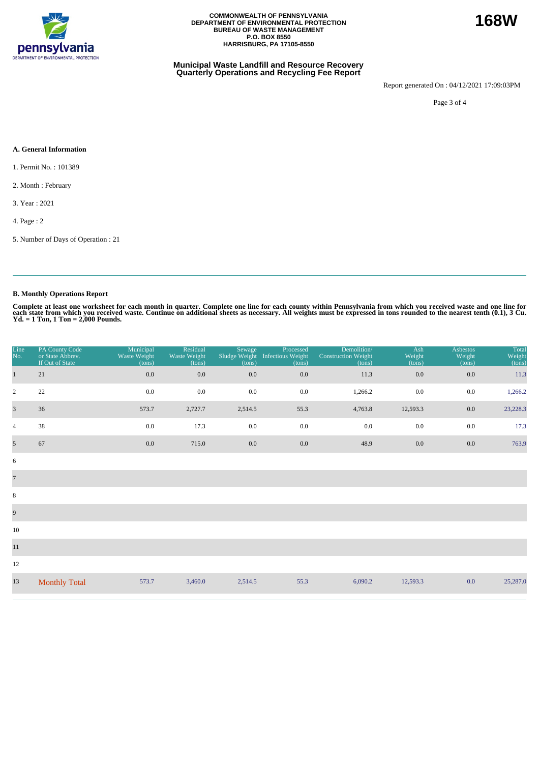

#### **Municipal Waste Landfill and Resource Recovery Quarterly Operations and Recycling Fee Report**

Report generated On : 04/12/2021 17:09:03PM

Page 3 of 4

#### **A. General Information**

- 1. Permit No. : 101389
- 2. Month : February
- 3. Year : 2021
- 4. Page : 2
- 5. Number of Days of Operation : 21

## **B. Monthly Operations Report**

Complete at least one worksheet for each month in quarter. Complete one line for each county within Pennsylvania from which you received waste and one line for<br>each state from which you received waste. Continue on addition

| Line<br>No.             | PA County Code<br>or State Abbrev.<br>If Out of State | Municipal<br>Waste Weight<br>(tons) | Residual<br>Waste Weight<br>(tons) | Sewage<br>Sludge Weight<br>(tons) | Processed<br>Infectious Weight<br>(tons) | Demolition/<br><b>Construction Weight</b><br>(tons) | Ash<br>Weight<br>(tons) | Asbestos<br>Weight<br>(tons) | Total<br>Weight<br>(tons) |
|-------------------------|-------------------------------------------------------|-------------------------------------|------------------------------------|-----------------------------------|------------------------------------------|-----------------------------------------------------|-------------------------|------------------------------|---------------------------|
| $\mathbf{1}$            | 21                                                    | $0.0\,$                             | $0.0\,$                            | 0.0                               | 0.0                                      | 11.3                                                | $0.0\,$                 | 0.0                          | 11.3                      |
| $\sqrt{2}$              | $22\,$                                                | 0.0                                 | 0.0                                | $0.0\,$                           | 0.0                                      | 1,266.2                                             | $0.0\,$                 | $0.0\,$                      | 1,266.2                   |
| $\overline{\mathbf{3}}$ | 36                                                    | 573.7                               | 2,727.7                            | 2,514.5                           | 55.3                                     | 4,763.8                                             | 12,593.3                | $0.0\,$                      | 23,228.3                  |
| $\overline{4}$          | 38                                                    | 0.0                                 | 17.3                               | 0.0                               | 0.0                                      | 0.0                                                 | 0.0                     | 0.0                          | 17.3                      |
| $\overline{5}$          | 67                                                    | $0.0\,$                             | 715.0                              | $0.0\,$                           | 0.0                                      | 48.9                                                | $0.0\,$                 | 0.0                          | 763.9                     |
| $\sqrt{6}$              |                                                       |                                     |                                    |                                   |                                          |                                                     |                         |                              |                           |
| $\overline{7}$          |                                                       |                                     |                                    |                                   |                                          |                                                     |                         |                              |                           |
| $\,8\,$                 |                                                       |                                     |                                    |                                   |                                          |                                                     |                         |                              |                           |
| 9                       |                                                       |                                     |                                    |                                   |                                          |                                                     |                         |                              |                           |
| $10\,$                  |                                                       |                                     |                                    |                                   |                                          |                                                     |                         |                              |                           |
| $11\,$                  |                                                       |                                     |                                    |                                   |                                          |                                                     |                         |                              |                           |
| 12                      |                                                       |                                     |                                    |                                   |                                          |                                                     |                         |                              |                           |
| 13                      | <b>Monthly Total</b>                                  | 573.7                               | 3,460.0                            | 2,514.5                           | 55.3                                     | 6,090.2                                             | 12,593.3                | 0.0                          | 25,287.0                  |